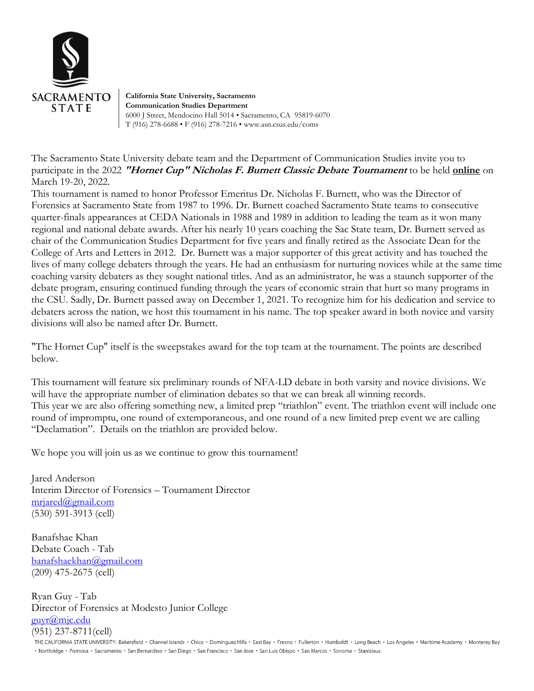

**California State University, Sacramento Communication Studies Department** 6000 J Street, Mendocino Hall 5014 • Sacramento, CA 95819-6070 T (916) 278-6688 • F (916) 278-7216 • www.asn.csus.edu/coms

The Sacramento State University debate team and the Department of Communication Studies invite you to participate in the 2022 **"Hornet Cup" Nicholas F. Burnett Classic Debate Tournament** to be held **online** on March 19-20, 2022.

This tournament is named to honor Professor Emeritus Dr. Nicholas F. Burnett, who was the Director of Forensics at Sacramento State from 1987 to 1996. Dr. Burnett coached Sacramento State teams to consecutive quarter-finals appearances at CEDA Nationals in 1988 and 1989 in addition to leading the team as it won many regional and national debate awards. After his nearly 10 years coaching the Sac State team, Dr. Burnett served as chair of the Communication Studies Department for five years and finally retired as the Associate Dean for the College of Arts and Letters in 2012. Dr. Burnett was a major supporter of this great activity and has touched the lives of many college debaters through the years. He had an enthusiasm for nurturing novices while at the same time coaching varsity debaters as they sought national titles. And as an administrator, he was a staunch supporter of the debate program, ensuring continued funding through the years of economic strain that hurt so many programs in the CSU. Sadly, Dr. Burnett passed away on December 1, 2021. To recognize him for his dedication and service to debaters across the nation, we host this tournament in his name. The top speaker award in both novice and varsity divisions will also be named after Dr. Burnett.

"The Hornet Cup" itself is the sweepstakes award for the top team at the tournament. The points are described below.

This tournament will feature six preliminary rounds of NFA-LD debate in both varsity and novice divisions. We will have the appropriate number of elimination debates so that we can break all winning records. This year we are also offering something new, a limited prep "triathlon" event. The triathlon event will include one round of impromptu, one round of extemporaneous, and one round of a new limited prep event we are calling "Declamation". Details on the triathlon are provided below.

We hope you will join us as we continue to grow this tournament!

Jared Anderson Interim Director of Forensics – Tournament Director [mrjared@gmail.com](mailto:mrjared@gmail.com) (530) 591-3913 (cell)

Banafshae Khan Debate Coach - Tab [banafshaekhan@gmail.com](mailto:banafshaekhan@gmail.com) (209) 475-2675 (cell)

Ryan Guy - Tab Director of Forensics at Modesto Junior College [guyr@mjc.edu](mailto:guyr@mjc.edu) (951) 237-8711(cell)

THE CALIFORNIA STATE UNIVERSITY: Bakersfield · Channel Islands · Chico · Dominguez Hills · East Bay · Fresno · Fullerton · Humboldt · Long Beach · Los Angeles · Maritime Academy · Monterey Bay · Northridge · Pomona · Sacramento · San Bernardino · San Diego · San Francisco · San Jose · San Luis Obispo · San Marcos · Sonoma · Stanislaus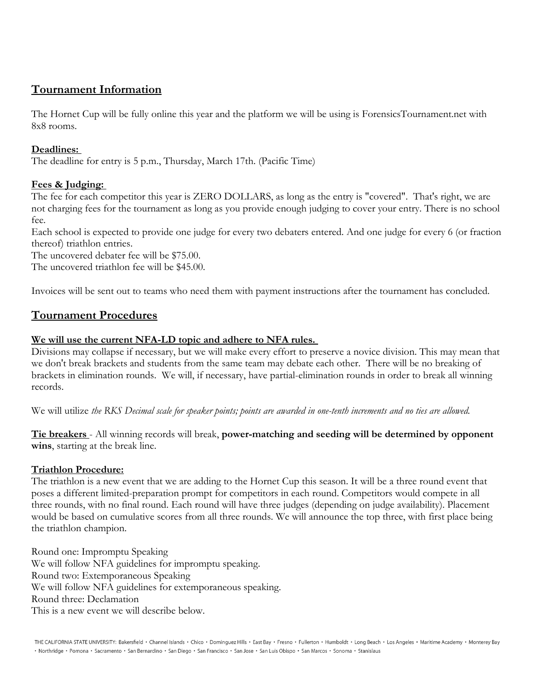# **Tournament Information**

The Hornet Cup will be fully online this year and the platform we will be using is ForensicsTournament.net with 8x8 rooms.

## **Deadlines:**

The deadline for entry is 5 p.m., Thursday, March 17th. (Pacific Time)

# **Fees & Judging:**

The fee for each competitor this year is ZERO DOLLARS, as long as the entry is "covered". That's right, we are not charging fees for the tournament as long as you provide enough judging to cover your entry. There is no school fee.

Each school is expected to provide one judge for every two debaters entered. And one judge for every 6 (or fraction thereof) triathlon entries.

The uncovered debater fee will be \$75.00.

The uncovered triathlon fee will be \$45.00.

Invoices will be sent out to teams who need them with payment instructions after the tournament has concluded.

# **Tournament Procedures**

## **We will use the current NFA-LD topic and adhere to NFA rules.**

Divisions may collapse if necessary, but we will make every effort to preserve a novice division. This may mean that we don't break brackets and students from the same team may debate each other. There will be no breaking of brackets in elimination rounds. We will, if necessary, have partial-elimination rounds in order to break all winning records.

We will utilize *the RKS Decimal scale for speaker points; points are awarded in one-tenth increments and no ties are allowed.*

**Tie breakers** - All winning records will break, **power-matching and seeding will be determined by opponent wins**, starting at the break line.

## **Triathlon Procedure:**

The triathlon is a new event that we are adding to the Hornet Cup this season. It will be a three round event that poses a different limited-preparation prompt for competitors in each round. Competitors would compete in all three rounds, with no final round. Each round will have three judges (depending on judge availability). Placement would be based on cumulative scores from all three rounds. We will announce the top three, with first place being the triathlon champion.

Round one: Impromptu Speaking We will follow NFA guidelines for impromptu speaking. Round two: Extemporaneous Speaking We will follow NFA guidelines for extemporaneous speaking. Round three: Declamation This is a new event we will describe below.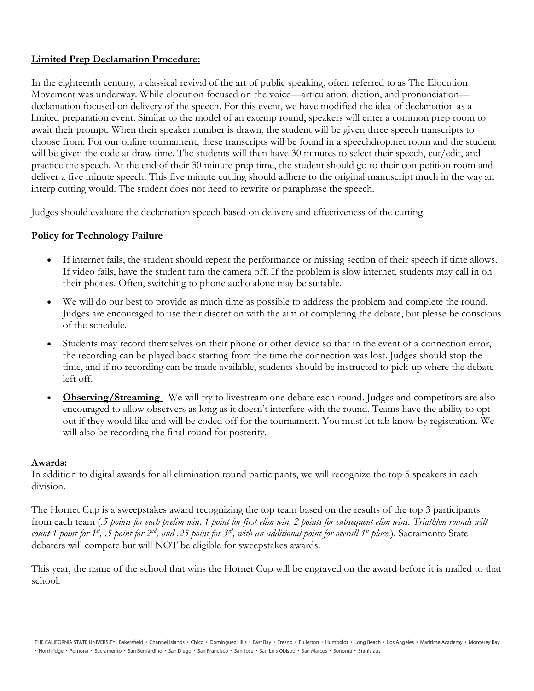#### **Limited Prep Declamation Procedure:**

In the eighteenth century, a classical revival of the art of public speaking, often referred to as The Elocution Movement was underway. While elocution focused on the voice—articulation, diction, and pronunciation declamation focused on delivery of the speech. For this event, we have modified the idea of declamation as a limited preparation event. Similar to the model of an extemp round, speakers will enter a common prep room to await their prompt. When their speaker number is drawn, the student will be given three speech transcripts to choose from. For our online tournament, these transcripts will be found in a speechdrop.net room and the student will be given the code at draw time. The students will then have 30 minutes to select their speech, cut/edit, and practice the speech. At the end of their 30 minute prep time, the student should go to their competition room and deliver a five minute speech. This five minute cutting should adhere to the original manuscript much in the way an interp cutting would. The student does not need to rewrite or paraphrase the speech.

Judges should evaluate the declamation speech based on delivery and effectiveness of the cutting.

#### **Policy for Technology Failure**

- If internet fails, the student should repeat the performance or missing section of their speech if time allows. If video fails, have the student turn the camera off. If the problem is slow internet, students may call in on their phones. Often, switching to phone audio alone may be suitable.
- We will do our best to provide as much time as possible to address the problem and complete the round. Judges are encouraged to use their discretion with the aim of completing the debate, but please be conscious of the schedule.
- Students may record themselves on their phone or other device so that in the event of a connection error, the recording can be played back starting from the time the connection was lost. Judges should stop the time, and if no recording can be made available, students should be instructed to pick-up where the debate left off.
- **Observing/Streaming** We will try to livestream one debate each round. Judges and competitors are also encouraged to allow observers as long as it doesn't interfere with the round. Teams have the ability to optout if they would like and will be coded off for the tournament. You must let tab know by registration. We will also be recording the final round for posterity.

#### **Awards:**

In addition to digital awards for all elimination round participants, we will recognize the top 5 speakers in each division.

The Hornet Cup is a sweepstakes award recognizing the top team based on the results of the top 3 participants from each team (*.5 points for each prelim win, 1 point for first elim win, 2 points for subsequent elim wins. Triathlon rounds will count 1 point for 1st, .5 point for 2nd, and .25 point for 3rd, with an additional point for overall 1st place.*). Sacramento State debaters will compete but will NOT be eligible for sweepstakes awards.

This year, the name of the school that wins the Hornet Cup will be engraved on the award before it is mailed to that school.